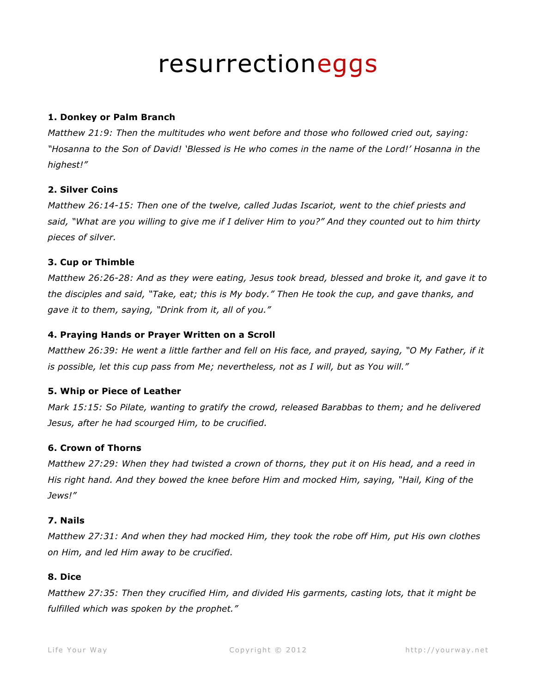# resurrectioneggs

# **1. Donkey or Palm Branch**

*Matthew 21:9: Then the multitudes who went before and those who followed cried out, saying: "Hosanna to the Son of David! 'Blessed is He who comes in the name of the Lord!' Hosanna in the highest!"*

# **2. Silver Coins**

*Matthew 26:14-15: Then one of the twelve, called Judas Iscariot, went to the chief priests and said, "What are you willing to give me if I deliver Him to you?" And they counted out to him thirty pieces of silver.*

# **3. Cup or Thimble**

*Matthew 26:26-28: And as they were eating, Jesus took bread, blessed and broke it, and gave it to the disciples and said, "Take, eat; this is My body." Then He took the cup, and gave thanks, and gave it to them, saying, "Drink from it, all of you."*

# **4. Praying Hands or Prayer Written on a Scroll**

*Matthew 26:39: He went a little farther and fell on His face, and prayed, saying, "O My Father, if it is possible, let this cup pass from Me; nevertheless, not as I will, but as You will."*

### **5. Whip or Piece of Leather**

*Mark 15:15: So Pilate, wanting to gratify the crowd, released Barabbas to them; and he delivered Jesus, after he had scourged Him, to be crucified.*

### **6. Crown of Thorns**

*Matthew 27:29: When they had twisted a crown of thorns, they put it on His head, and a reed in His right hand. And they bowed the knee before Him and mocked Him, saying, "Hail, King of the Jews!"*

### **7. Nails**

*Matthew 27:31: And when they had mocked Him, they took the robe off Him, put His own clothes on Him, and led Him away to be crucified.*

### **8. Dice**

*Matthew 27:35: Then they crucified Him, and divided His garments, casting lots, that it might be fulfilled which was spoken by the prophet."*